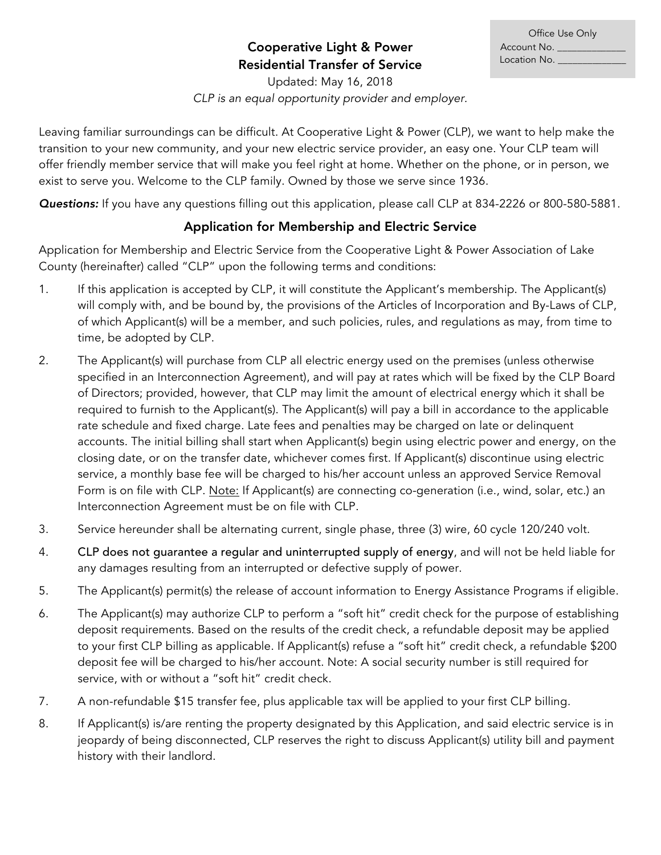## Cooperative Light & Power Residential Transfer of Service

Updated: May 16, 2018 *CLP is an equal opportunity provider and employer.*

Leaving familiar surroundings can be difficult. At Cooperative Light & Power (CLP), we want to help make the transition to your new community, and your new electric service provider, an easy one. Your CLP team will offer friendly member service that will make you feel right at home. Whether on the phone, or in person, we exist to serve you. Welcome to the CLP family. Owned by those we serve since 1936.

*Questions:* If you have any questions filling out this application, please call CLP at 834-2226 or 800-580-5881.

## Application for Membership and Electric Service

Application for Membership and Electric Service from the Cooperative Light & Power Association of Lake County (hereinafter) called "CLP" upon the following terms and conditions:

- 1. If this application is accepted by CLP, it will constitute the Applicant's membership. The Applicant(s) will comply with, and be bound by, the provisions of the Articles of Incorporation and By-Laws of CLP, of which Applicant(s) will be a member, and such policies, rules, and regulations as may, from time to time, be adopted by CLP.
- 2. The Applicant(s) will purchase from CLP all electric energy used on the premises (unless otherwise specified in an Interconnection Agreement), and will pay at rates which will be fixed by the CLP Board of Directors; provided, however, that CLP may limit the amount of electrical energy which it shall be required to furnish to the Applicant(s). The Applicant(s) will pay a bill in accordance to the applicable rate schedule and fixed charge. Late fees and penalties may be charged on late or delinquent accounts. The initial billing shall start when Applicant(s) begin using electric power and energy, on the closing date, or on the transfer date, whichever comes first. If Applicant(s) discontinue using electric service, a monthly base fee will be charged to his/her account unless an approved Service Removal Form is on file with CLP. Note: If Applicant(s) are connecting co-generation (i.e., wind, solar, etc.) an Interconnection Agreement must be on file with CLP.
- 3. Service hereunder shall be alternating current, single phase, three (3) wire, 60 cycle 120/240 volt.
- 4. CLP does not guarantee a regular and uninterrupted supply of energy, and will not be held liable for any damages resulting from an interrupted or defective supply of power.
- 5. The Applicant(s) permit(s) the release of account information to Energy Assistance Programs if eligible.
- 6. The Applicant(s) may authorize CLP to perform a "soft hit" credit check for the purpose of establishing deposit requirements. Based on the results of the credit check, a refundable deposit may be applied to your first CLP billing as applicable. If Applicant(s) refuse a "soft hit" credit check, a refundable \$200 deposit fee will be charged to his/her account. Note: A social security number is still required for service, with or without a "soft hit" credit check.
- 7. A non-refundable \$15 transfer fee, plus applicable tax will be applied to your first CLP billing.
- 8. If Applicant(s) is/are renting the property designated by this Application, and said electric service is in jeopardy of being disconnected, CLP reserves the right to discuss Applicant(s) utility bill and payment history with their landlord.